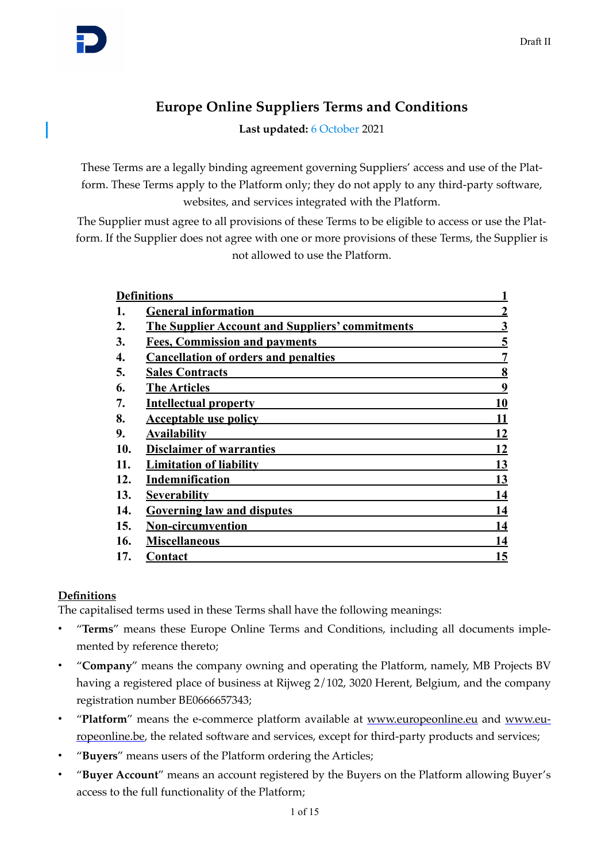# **Europe Online Suppliers Terms and Conditions**

Last updated: 6 October 2021

These Terms are a legally binding agreement governing Suppliers' access and use of the Platform. These Terms apply to the Platform only; they do not apply to any third-party software, websites, and services integrated with the Platform.

The Supplier must agree to all provisions of these Terms to be eligible to access or use the Platform. If the Supplier does not agree with one or more provisions of these Terms, the Supplier is not allowed to use the Platform.

| <b>Definitions</b> |                                                        |                         |
|--------------------|--------------------------------------------------------|-------------------------|
|                    | <b>General information</b>                             | $\overline{2}$          |
| 2.                 | <b>The Supplier Account and Suppliers' commitments</b> | $\overline{\mathbf{3}}$ |
| 3.                 | <b>Fees, Commission and payments</b>                   | 5                       |
| 4.                 | <b>Cancellation of orders and penalties</b>            | 7                       |
| 5.                 | <b>Sales Contracts</b>                                 | 8                       |
| 6.                 | <b>The Articles</b>                                    | 9                       |
| 7.                 | <b>Intellectual property</b>                           | 10                      |
| 8.                 | <b>Acceptable use policy</b>                           | 11                      |
| 9.                 | <b>Availability</b>                                    | 12                      |
| 10.                | <b>Disclaimer of warranties</b>                        | 12                      |
| 11.                | <b>Limitation of liability</b>                         | 13                      |
| 12.                | Indemnification                                        | 13                      |
| 13.                | <b>Severability</b>                                    | 14                      |
| 14.                | <b>Governing law and disputes</b>                      | 14                      |
| 15.                | <b>Non-circumvention</b>                               | 14                      |
| 16.                | <b>Miscellaneous</b>                                   | 14                      |
| 17.                | Contact                                                | <u> 15</u>              |
|                    |                                                        |                         |

# <span id="page-0-0"></span>**Definitions**

The capitalised terms used in these Terms shall have the following meanings:

- "**Terms**" means these Europe Online Terms and Conditions, including all documents implemented by reference thereto;
- "**Company**" means the company owning and operating the Platform, namely, MB Projects BV having a registered place of business at Rijweg 2/102, 3020 Herent, Belgium, and the company registration number BE0666657343;
- "**Platform**" means the e-commerce platform available at [www.europeonline.eu](http://www.europeonline.eu) and [www.eu](http://www.europeonline.be)[ropeonline.be](http://www.europeonline.be), the related software and services, except for third-party products and services;
- "**Buyers**" means users of the Platform ordering the Articles;
- "**Buyer Account**" means an account registered by the Buyers on the Platform allowing Buyer's access to the full functionality of the Platform;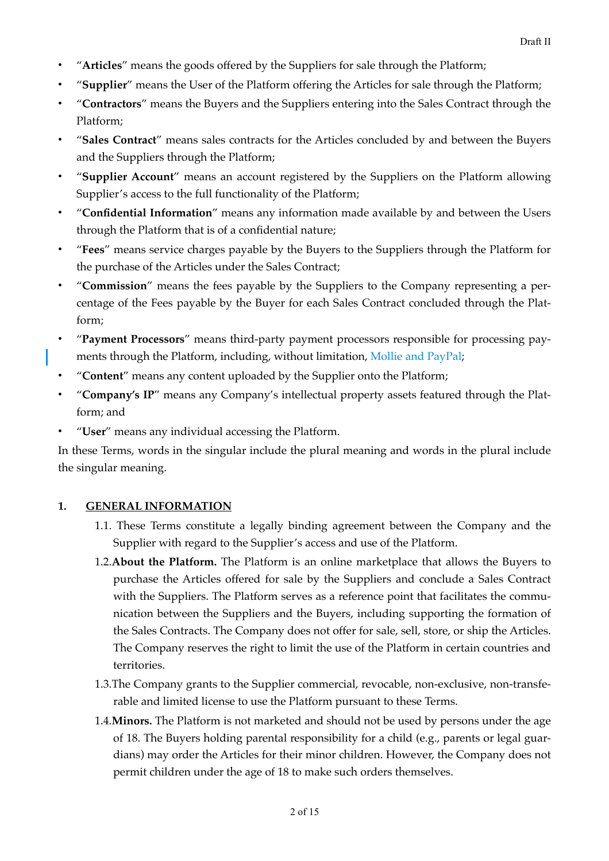- "**Articles**" means the goods offered by the Suppliers for sale through the Platform;
- "**Supplier**" means the User of the Platform offering the Articles for sale through the Platform;
- "**Contractors**" means the Buyers and the Suppliers entering into the Sales Contract through the Platform;
- "**Sales Contract**" means sales contracts for the Articles concluded by and between the Buyers and the Suppliers through the Platform;
- "**Supplier Account**" means an account registered by the Suppliers on the Platform allowing Supplier's access to the full functionality of the Platform;
- "**Confidential Information**" means any information made available by and between the Users through the Platform that is of a confidential nature;
- "**Fees**" means service charges payable by the Buyers to the Suppliers through the Platform for the purchase of the Articles under the Sales Contract;
- "**Commission**" means the fees payable by the Suppliers to the Company representing a percentage of the Fees payable by the Buyer for each Sales Contract concluded through the Platform;
- "**Payment Processors**" means third-party payment processors responsible for processing payments through the Platform, including, without limitation, Mollie and PayPal;
- "**Content**" means any content uploaded by the Supplier onto the Platform;
- "**Company's IP**" means any Company's intellectual property assets featured through the Platform; and
- "**User**" means any individual accessing the Platform.

In these Terms, words in the singular include the plural meaning and words in the plural include the singular meaning.

# **1. GENERAL INFORMATION**

- <span id="page-1-0"></span>1.1. These Terms constitute a legally binding agreement between the Company and the Supplier with regard to the Supplier's access and use of the Platform.
- 1.2.**About the Platform.** The Platform is an online marketplace that allows the Buyers to purchase the Articles offered for sale by the Suppliers and conclude a Sales Contract with the Suppliers. The Platform serves as a reference point that facilitates the communication between the Suppliers and the Buyers, including supporting the formation of the Sales Contracts. The Company does not offer for sale, sell, store, or ship the Articles. The Company reserves the right to limit the use of the Platform in certain countries and territories.
- 1.3.The Company grants to the Supplier commercial, revocable, non-exclusive, non-transferable and limited license to use the Platform pursuant to these Terms.
- 1.4.**Minors.** The Platform is not marketed and should not be used by persons under the age of 18. The Buyers holding parental responsibility for a child (e.g., parents or legal guardians) may order the Articles for their minor children. However, the Company does not permit children under the age of 18 to make such orders themselves.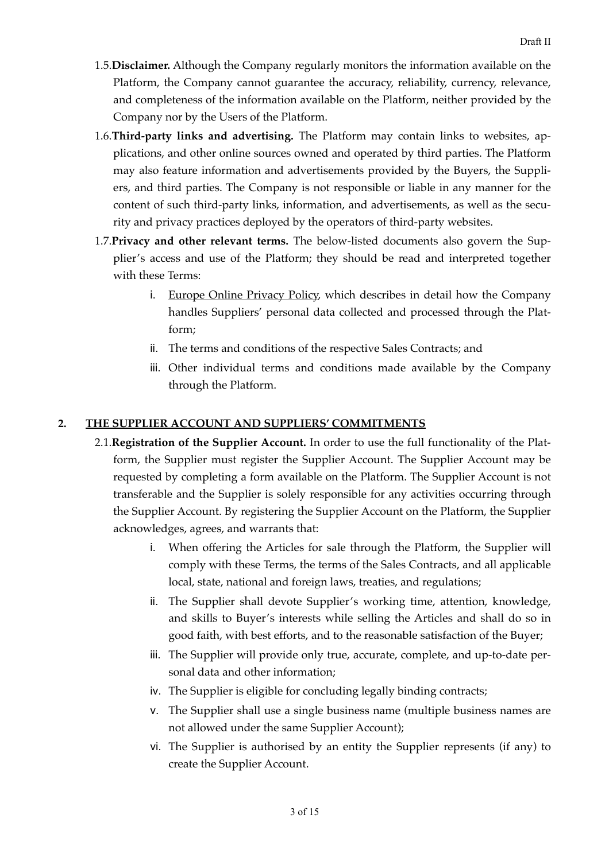- 1.5.**Disclaimer.** Although the Company regularly monitors the information available on the Platform, the Company cannot guarantee the accuracy, reliability, currency, relevance, and completeness of the information available on the Platform, neither provided by the Company nor by the Users of the Platform.
- 1.6.**Third-party links and advertising.** The Platform may contain links to websites, applications, and other online sources owned and operated by third parties. The Platform may also feature information and advertisements provided by the Buyers, the Suppliers, and third parties. The Company is not responsible or liable in any manner for the content of such third-party links, information, and advertisements, as well as the security and privacy practices deployed by the operators of third-party websites.
- 1.7.**Privacy and other relevant terms.** The below-listed documents also govern the Supplier's access and use of the Platform; they should be read and interpreted together with these Terms:
	- i. Europe Online Privacy Policy, which describes in detail how the Company handles Suppliers' personal data collected and processed through the Platform;
	- ii. The terms and conditions of the respective Sales Contracts; and
	- iii. Other individual terms and conditions made available by the Company through the Platform.

# **2. THE SUPPLIER ACCOUNT AND SUPPLIERS' COMMITMENTS**

- <span id="page-2-0"></span>2.1.**Registration of the Supplier Account.** In order to use the full functionality of the Platform, the Supplier must register the Supplier Account. The Supplier Account may be requested by completing a form available on the Platform. The Supplier Account is not transferable and the Supplier is solely responsible for any activities occurring through the Supplier Account. By registering the Supplier Account on the Platform, the Supplier acknowledges, agrees, and warrants that:
	- i. When offering the Articles for sale through the Platform, the Supplier will comply with these Terms, the terms of the Sales Contracts, and all applicable local, state, national and foreign laws, treaties, and regulations;
	- ii. The Supplier shall devote Supplier's working time, attention, knowledge, and skills to Buyer's interests while selling the Articles and shall do so in good faith, with best efforts, and to the reasonable satisfaction of the Buyer;
	- iii. The Supplier will provide only true, accurate, complete, and up-to-date personal data and other information;
	- iv. The Supplier is eligible for concluding legally binding contracts;
	- v. The Supplier shall use a single business name (multiple business names are not allowed under the same Supplier Account);
	- vi. The Supplier is authorised by an entity the Supplier represents (if any) to create the Supplier Account.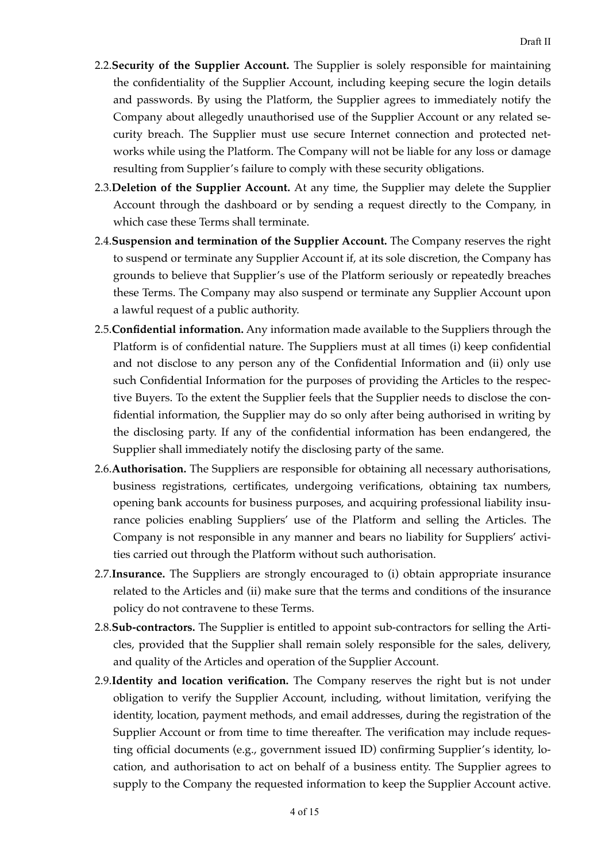- 2.2.**Security of the Supplier Account.** The Supplier is solely responsible for maintaining the confidentiality of the Supplier Account, including keeping secure the login details and passwords. By using the Platform, the Supplier agrees to immediately notify the Company about allegedly unauthorised use of the Supplier Account or any related security breach. The Supplier must use secure Internet connection and protected networks while using the Platform. The Company will not be liable for any loss or damage resulting from Supplier's failure to comply with these security obligations.
- 2.3.**Deletion of the Supplier Account.** At any time, the Supplier may delete the Supplier Account through the dashboard or by sending a request directly to the Company, in which case these Terms shall terminate.
- 2.4.**Suspension and termination of the Supplier Account.** The Company reserves the right to suspend or terminate any Supplier Account if, at its sole discretion, the Company has grounds to believe that Supplier's use of the Platform seriously or repeatedly breaches these Terms. The Company may also suspend or terminate any Supplier Account upon a lawful request of a public authority.
- 2.5.**Confidential information.** Any information made available to the Suppliers through the Platform is of confidential nature. The Suppliers must at all times (i) keep confidential and not disclose to any person any of the Confidential Information and (ii) only use such Confidential Information for the purposes of providing the Articles to the respective Buyers. To the extent the Supplier feels that the Supplier needs to disclose the confidential information, the Supplier may do so only after being authorised in writing by the disclosing party. If any of the confidential information has been endangered, the Supplier shall immediately notify the disclosing party of the same.
- 2.6.**Authorisation.** The Suppliers are responsible for obtaining all necessary authorisations, business registrations, certificates, undergoing verifications, obtaining tax numbers, opening bank accounts for business purposes, and acquiring professional liability insurance policies enabling Suppliers' use of the Platform and selling the Articles. The Company is not responsible in any manner and bears no liability for Suppliers' activities carried out through the Platform without such authorisation.
- 2.7.**Insurance.** The Suppliers are strongly encouraged to (i) obtain appropriate insurance related to the Articles and (ii) make sure that the terms and conditions of the insurance policy do not contravene to these Terms.
- 2.8.**Sub-contractors.** The Supplier is entitled to appoint sub-contractors for selling the Articles, provided that the Supplier shall remain solely responsible for the sales, delivery, and quality of the Articles and operation of the Supplier Account.
- 2.9.**Identity and location verification.** The Company reserves the right but is not under obligation to verify the Supplier Account, including, without limitation, verifying the identity, location, payment methods, and email addresses, during the registration of the Supplier Account or from time to time thereafter. The verification may include requesting official documents (e.g., government issued ID) confirming Supplier's identity, location, and authorisation to act on behalf of a business entity. The Supplier agrees to supply to the Company the requested information to keep the Supplier Account active.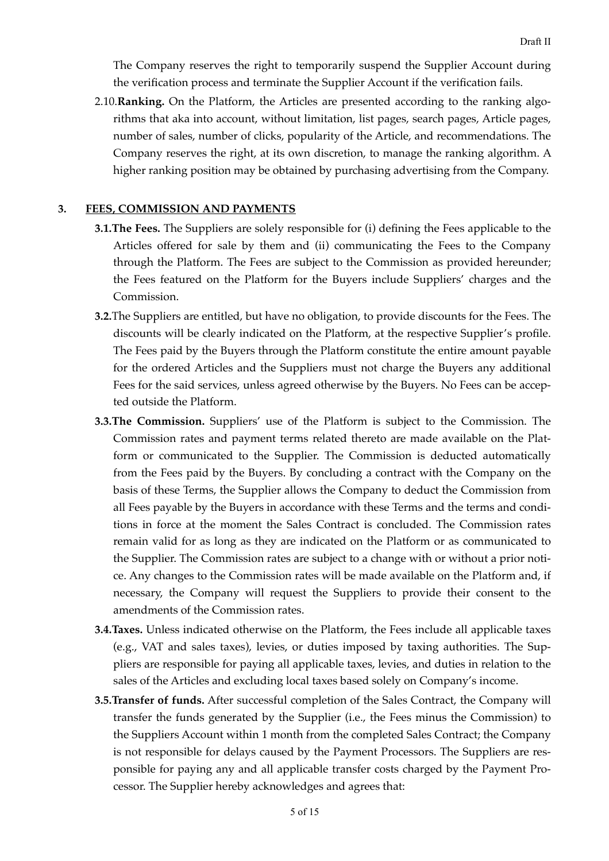The Company reserves the right to temporarily suspend the Supplier Account during the verification process and terminate the Supplier Account if the verification fails.

2.10.**Ranking.** On the Platform, the Articles are presented according to the ranking algorithms that aka into account, without limitation, list pages, search pages, Article pages, number of sales, number of clicks, popularity of the Article, and recommendations. The Company reserves the right, at its own discretion, to manage the ranking algorithm. A higher ranking position may be obtained by purchasing advertising from the Company.

#### **3. FEES, COMMISSION AND PAYMENTS**

- <span id="page-4-0"></span>**3.1.The Fees.** The Suppliers are solely responsible for (i) defining the Fees applicable to the Articles offered for sale by them and (ii) communicating the Fees to the Company through the Platform. The Fees are subject to the Commission as provided hereunder; the Fees featured on the Platform for the Buyers include Suppliers' charges and the Commission.
- **3.2.**The Suppliers are entitled, but have no obligation, to provide discounts for the Fees. The discounts will be clearly indicated on the Platform, at the respective Supplier's profile. The Fees paid by the Buyers through the Platform constitute the entire amount payable for the ordered Articles and the Suppliers must not charge the Buyers any additional Fees for the said services, unless agreed otherwise by the Buyers. No Fees can be accepted outside the Platform.
- **3.3.The Commission.** Suppliers' use of the Platform is subject to the Commission. The Commission rates and payment terms related thereto are made available on the Platform or communicated to the Supplier. The Commission is deducted automatically from the Fees paid by the Buyers. By concluding a contract with the Company on the basis of these Terms, the Supplier allows the Company to deduct the Commission from all Fees payable by the Buyers in accordance with these Terms and the terms and conditions in force at the moment the Sales Contract is concluded. The Commission rates remain valid for as long as they are indicated on the Platform or as communicated to the Supplier. The Commission rates are subject to a change with or without a prior notice. Any changes to the Commission rates will be made available on the Platform and, if necessary, the Company will request the Suppliers to provide their consent to the amendments of the Commission rates.
- **3.4.Taxes.** Unless indicated otherwise on the Platform, the Fees include all applicable taxes (e.g., VAT and sales taxes), levies, or duties imposed by taxing authorities. The Suppliers are responsible for paying all applicable taxes, levies, and duties in relation to the sales of the Articles and excluding local taxes based solely on Company's income.
- **3.5.Transfer of funds.** After successful completion of the Sales Contract, the Company will transfer the funds generated by the Supplier (i.e., the Fees minus the Commission) to the Suppliers Account within 1 month from the completed Sales Contract; the Company is not responsible for delays caused by the Payment Processors. The Suppliers are responsible for paying any and all applicable transfer costs charged by the Payment Processor. The Supplier hereby acknowledges and agrees that: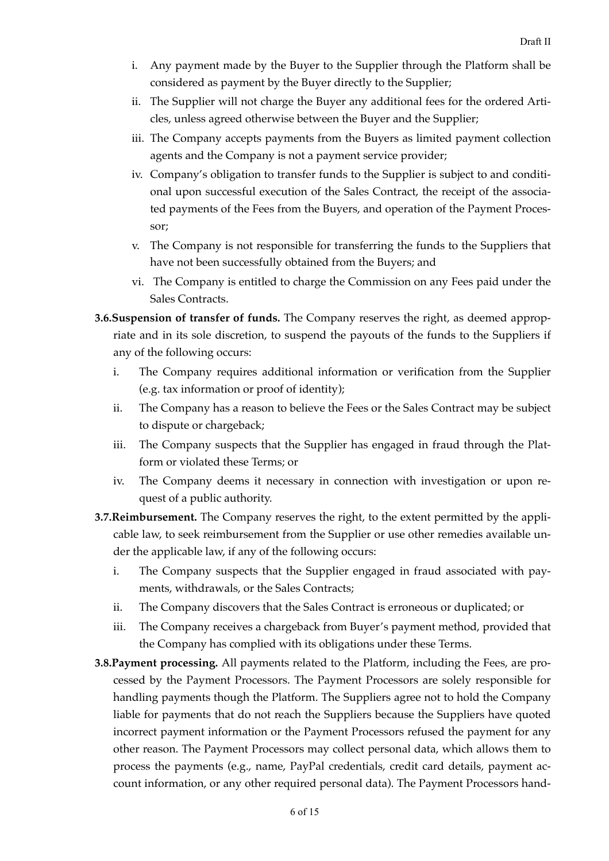- i. Any payment made by the Buyer to the Supplier through the Platform shall be considered as payment by the Buyer directly to the Supplier;
- ii. The Supplier will not charge the Buyer any additional fees for the ordered Articles, unless agreed otherwise between the Buyer and the Supplier;
- iii. The Company accepts payments from the Buyers as limited payment collection agents and the Company is not a payment service provider;
- iv. Company's obligation to transfer funds to the Supplier is subject to and conditional upon successful execution of the Sales Contract, the receipt of the associated payments of the Fees from the Buyers, and operation of the Payment Processor;
- v. The Company is not responsible for transferring the funds to the Suppliers that have not been successfully obtained from the Buyers; and
- vi. The Company is entitled to charge the Commission on any Fees paid under the Sales Contracts.
- **3.6.Suspension of transfer of funds.** The Company reserves the right, as deemed appropriate and in its sole discretion, to suspend the payouts of the funds to the Suppliers if any of the following occurs:
	- i. The Company requires additional information or verification from the Supplier (e.g. tax information or proof of identity);
	- ii. The Company has a reason to believe the Fees or the Sales Contract may be subject to dispute or chargeback;
	- iii. The Company suspects that the Supplier has engaged in fraud through the Platform or violated these Terms; or
	- iv. The Company deems it necessary in connection with investigation or upon request of a public authority.
- **3.7.Reimbursement.** The Company reserves the right, to the extent permitted by the applicable law, to seek reimbursement from the Supplier or use other remedies available under the applicable law, if any of the following occurs:
	- i. The Company suspects that the Supplier engaged in fraud associated with payments, withdrawals, or the Sales Contracts;
	- ii. The Company discovers that the Sales Contract is erroneous or duplicated; or
	- iii. The Company receives a chargeback from Buyer's payment method, provided that the Company has complied with its obligations under these Terms.
- **3.8.Payment processing.** All payments related to the Platform, including the Fees, are processed by the Payment Processors. The Payment Processors are solely responsible for handling payments though the Platform. The Suppliers agree not to hold the Company liable for payments that do not reach the Suppliers because the Suppliers have quoted incorrect payment information or the Payment Processors refused the payment for any other reason. The Payment Processors may collect personal data, which allows them to process the payments (e.g., name, PayPal credentials, credit card details, payment account information, or any other required personal data). The Payment Processors hand-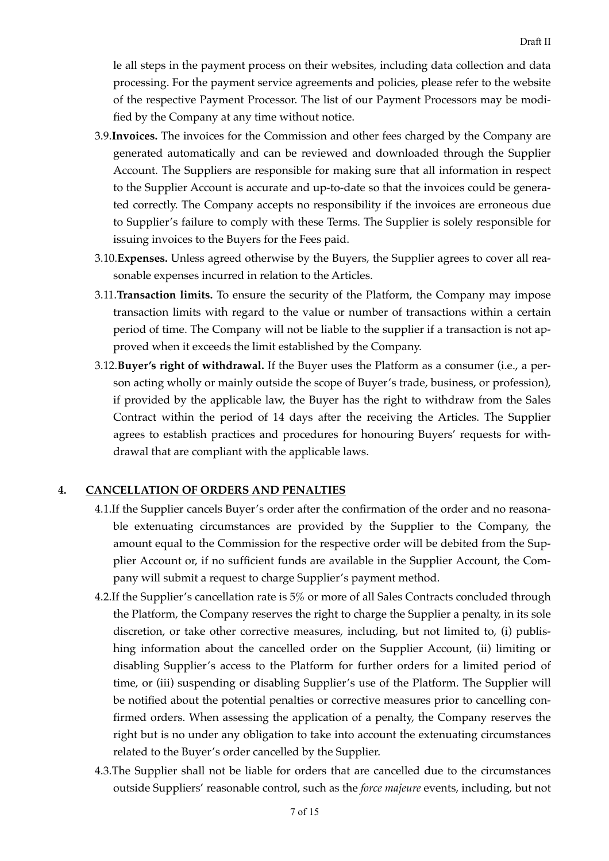le all steps in the payment process on their websites, including data collection and data processing. For the payment service agreements and policies, please refer to the website of the respective Payment Processor. The list of our Payment Processors may be modified by the Company at any time without notice.

- 3.9.**Invoices.** The invoices for the Commission and other fees charged by the Company are generated automatically and can be reviewed and downloaded through the Supplier Account. The Suppliers are responsible for making sure that all information in respect to the Supplier Account is accurate and up-to-date so that the invoices could be generated correctly. The Company accepts no responsibility if the invoices are erroneous due to Supplier's failure to comply with these Terms. The Supplier is solely responsible for issuing invoices to the Buyers for the Fees paid.
- 3.10.**Expenses.** Unless agreed otherwise by the Buyers, the Supplier agrees to cover all reasonable expenses incurred in relation to the Articles.
- 3.11.**Transaction limits.** To ensure the security of the Platform, the Company may impose transaction limits with regard to the value or number of transactions within a certain period of time. The Company will not be liable to the supplier if a transaction is not approved when it exceeds the limit established by the Company.
- 3.12.**Buyer's right of withdrawal.** If the Buyer uses the Platform as a consumer (i.e., a person acting wholly or mainly outside the scope of Buyer's trade, business, or profession), if provided by the applicable law, the Buyer has the right to withdraw from the Sales Contract within the period of 14 days after the receiving the Articles. The Supplier agrees to establish practices and procedures for honouring Buyers' requests for withdrawal that are compliant with the applicable laws.

# **4. CANCELLATION OF ORDERS AND PENALTIES**

- <span id="page-6-0"></span>4.1.If the Supplier cancels Buyer's order after the confirmation of the order and no reasonable extenuating circumstances are provided by the Supplier to the Company, the amount equal to the Commission for the respective order will be debited from the Supplier Account or, if no sufficient funds are available in the Supplier Account, the Company will submit a request to charge Supplier's payment method.
- 4.2.If the Supplier's cancellation rate is 5% or more of all Sales Contracts concluded through the Platform, the Company reserves the right to charge the Supplier a penalty, in its sole discretion, or take other corrective measures, including, but not limited to, (i) publishing information about the cancelled order on the Supplier Account, (ii) limiting or disabling Supplier's access to the Platform for further orders for a limited period of time, or (iii) suspending or disabling Supplier's use of the Platform. The Supplier will be notified about the potential penalties or corrective measures prior to cancelling confirmed orders. When assessing the application of a penalty, the Company reserves the right but is no under any obligation to take into account the extenuating circumstances related to the Buyer's order cancelled by the Supplier.
- 4.3.The Supplier shall not be liable for orders that are cancelled due to the circumstances outside Suppliers' reasonable control, such as the *force majeure* events, including, but not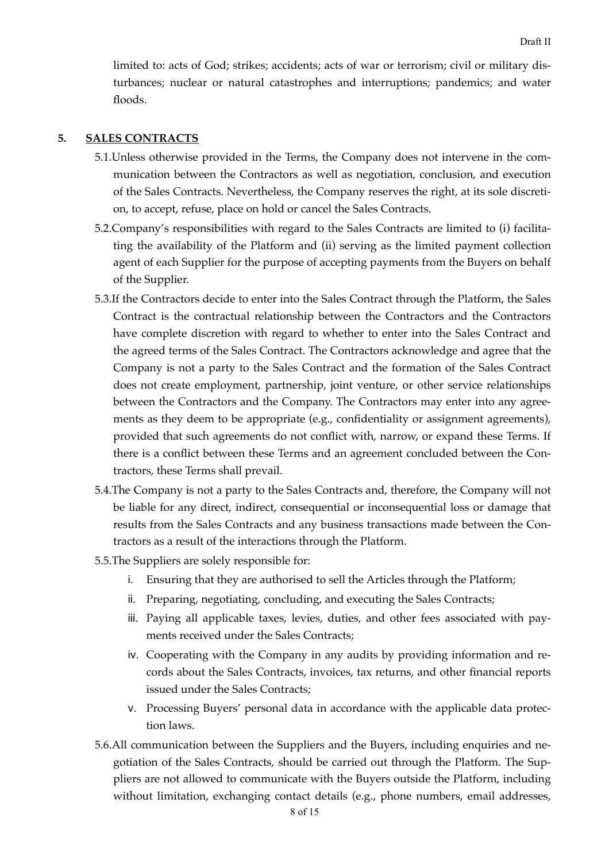limited to: acts of God; strikes; accidents; acts of war or terrorism; civil or military disturbances; nuclear or natural catastrophes and interruptions; pandemics; and water floods.

# **5. SALES CONTRACTS**

- <span id="page-7-0"></span>5.1.Unless otherwise provided in the Terms, the Company does not intervene in the communication between the Contractors as well as negotiation, conclusion, and execution of the Sales Contracts. Nevertheless, the Company reserves the right, at its sole discretion, to accept, refuse, place on hold or cancel the Sales Contracts.
- 5.2.Company's responsibilities with regard to the Sales Contracts are limited to (i) facilitating the availability of the Platform and (ii) serving as the limited payment collection agent of each Supplier for the purpose of accepting payments from the Buyers on behalf of the Supplier.
- 5.3.If the Contractors decide to enter into the Sales Contract through the Platform, the Sales Contract is the contractual relationship between the Contractors and the Contractors have complete discretion with regard to whether to enter into the Sales Contract and the agreed terms of the Sales Contract. The Contractors acknowledge and agree that the Company is not a party to the Sales Contract and the formation of the Sales Contract does not create employment, partnership, joint venture, or other service relationships between the Contractors and the Company. The Contractors may enter into any agreements as they deem to be appropriate (e.g., confidentiality or assignment agreements), provided that such agreements do not conflict with, narrow, or expand these Terms. If there is a conflict between these Terms and an agreement concluded between the Contractors, these Terms shall prevail.
- 5.4.The Company is not a party to the Sales Contracts and, therefore, the Company will not be liable for any direct, indirect, consequential or inconsequential loss or damage that results from the Sales Contracts and any business transactions made between the Contractors as a result of the interactions through the Platform.
- 5.5.The Suppliers are solely responsible for:
	- i. Ensuring that they are authorised to sell the Articles through the Platform;
	- i. Preparing, negotiating, concluding, and executing the Sales Contracts;
	- iii. Paying all applicable taxes, levies, duties, and other fees associated with payments received under the Sales Contracts;
	- iv. Cooperating with the Company in any audits by providing information and records about the Sales Contracts, invoices, tax returns, and other financial reports issued under the Sales Contracts;
	- v. Processing Buyers' personal data in accordance with the applicable data protection laws.
- 5.6.All communication between the Suppliers and the Buyers, including enquiries and negotiation of the Sales Contracts, should be carried out through the Platform. The Suppliers are not allowed to communicate with the Buyers outside the Platform, including without limitation, exchanging contact details (e.g., phone numbers, email addresses,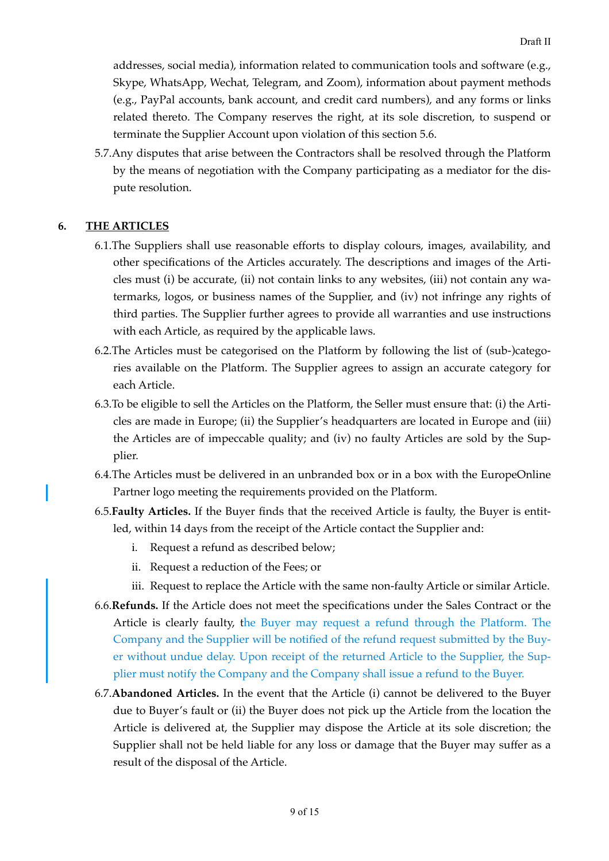addresses, social media), information related to communication tools and software (e.g., Skype, WhatsApp, Wechat, Telegram, and Zoom), information about payment methods (e.g., PayPal accounts, bank account, and credit card numbers), and any forms or links related thereto. The Company reserves the right, at its sole discretion, to suspend or terminate the Supplier Account upon violation of this section 5.6.

5.7.Any disputes that arise between the Contractors shall be resolved through the Platform by the means of negotiation with the Company participating as a mediator for the dispute resolution.

# **6. THE ARTICLES**

- <span id="page-8-0"></span>6.1.The Suppliers shall use reasonable efforts to display colours, images, availability, and other specifications of the Articles accurately. The descriptions and images of the Articles must (i) be accurate, (ii) not contain links to any websites, (iii) not contain any watermarks, logos, or business names of the Supplier, and (iv) not infringe any rights of third parties. The Supplier further agrees to provide all warranties and use instructions with each Article, as required by the applicable laws.
- 6.2.The Articles must be categorised on the Platform by following the list of (sub-)categories available on the Platform. The Supplier agrees to assign an accurate category for each Article.
- 6.3.To be eligible to sell the Articles on the Platform, the Seller must ensure that: (i) the Articles are made in Europe; (ii) the Supplier's headquarters are located in Europe and (iii) the Articles are of impeccable quality; and (iv) no faulty Articles are sold by the Supplier.
- 6.4.The Articles must be delivered in an unbranded box or in a box with the EuropeOnline Partner logo meeting the requirements provided on the Platform.
- 6.5.**Faulty Articles.** If the Buyer finds that the received Article is faulty, the Buyer is entitled, within 14 days from the receipt of the Article contact the Supplier and:
	- i. Request a refund as described below;
	- ii. Request a reduction of the Fees; or
	- iii. Request to replace the Article with the same non-faulty Article or similar Article.
- 6.6.**Refunds.** If the Article does not meet the specifications under the Sales Contract or the Article is clearly faulty, the Buyer may request a refund through the Platform. The Company and the Supplier will be notified of the refund request submitted by the Buyer without undue delay. Upon receipt of the returned Article to the Supplier, the Supplier must notify the Company and the Company shall issue a refund to the Buyer.
- 6.7.**Abandoned Articles.** In the event that the Article (i) cannot be delivered to the Buyer due to Buyer's fault or (ii) the Buyer does not pick up the Article from the location the Article is delivered at, the Supplier may dispose the Article at its sole discretion; the Supplier shall not be held liable for any loss or damage that the Buyer may suffer as a result of the disposal of the Article.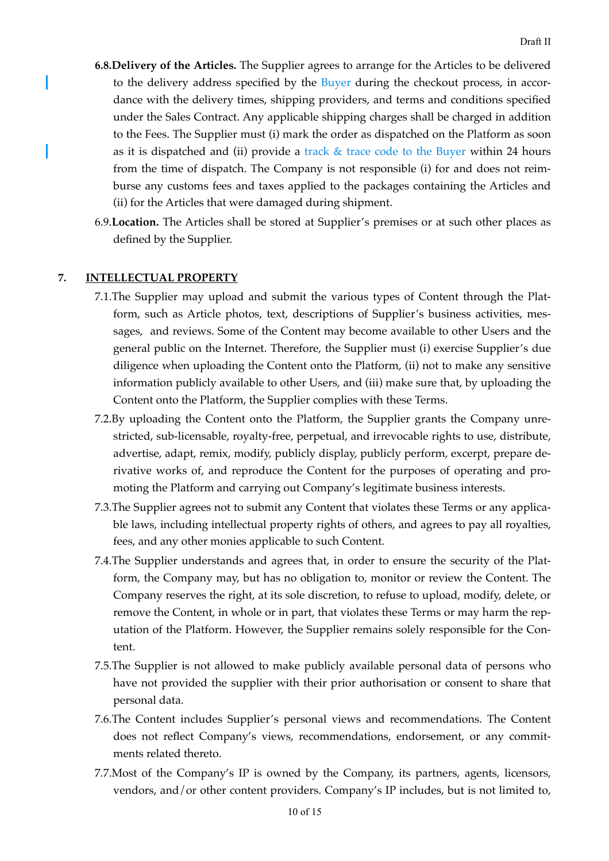- **6.8.Delivery of the Articles.** The Supplier agrees to arrange for the Articles to be delivered to the delivery address specified by the Buyer during the checkout process, in accordance with the delivery times, shipping providers, and terms and conditions specified under the Sales Contract. Any applicable shipping charges shall be charged in addition to the Fees. The Supplier must (i) mark the order as dispatched on the Platform as soon as it is dispatched and (ii) provide a track  $&$  trace code to the Buyer within 24 hours from the time of dispatch. The Company is not responsible (i) for and does not reimburse any customs fees and taxes applied to the packages containing the Articles and (ii) for the Articles that were damaged during shipment.
- 6.9.**Location.** The Articles shall be stored at Supplier's premises or at such other places as defined by the Supplier.

#### **7. INTELLECTUAL PROPERTY**

- <span id="page-9-0"></span>7.1.The Supplier may upload and submit the various types of Content through the Platform, such as Article photos, text, descriptions of Supplier's business activities, messages, and reviews. Some of the Content may become available to other Users and the general public on the Internet. Therefore, the Supplier must (i) exercise Supplier's due diligence when uploading the Content onto the Platform, (ii) not to make any sensitive information publicly available to other Users, and (iii) make sure that, by uploading the Content onto the Platform, the Supplier complies with these Terms.
- 7.2.By uploading the Content onto the Platform, the Supplier grants the Company unrestricted, sub-licensable, royalty-free, perpetual, and irrevocable rights to use, distribute, advertise, adapt, remix, modify, publicly display, publicly perform, excerpt, prepare derivative works of, and reproduce the Content for the purposes of operating and promoting the Platform and carrying out Company's legitimate business interests.
- 7.3.The Supplier agrees not to submit any Content that violates these Terms or any applicable laws, including intellectual property rights of others, and agrees to pay all royalties, fees, and any other monies applicable to such Content.
- 7.4.The Supplier understands and agrees that, in order to ensure the security of the Platform, the Company may, but has no obligation to, monitor or review the Content. The Company reserves the right, at its sole discretion, to refuse to upload, modify, delete, or remove the Content, in whole or in part, that violates these Terms or may harm the reputation of the Platform. However, the Supplier remains solely responsible for the Content.
- 7.5.The Supplier is not allowed to make publicly available personal data of persons who have not provided the supplier with their prior authorisation or consent to share that personal data.
- 7.6.The Content includes Supplier's personal views and recommendations. The Content does not reflect Company's views, recommendations, endorsement, or any commitments related thereto.
- 7.7.Most of the Company's IP is owned by the Company, its partners, agents, licensors, vendors, and/or other content providers. Company's IP includes, but is not limited to,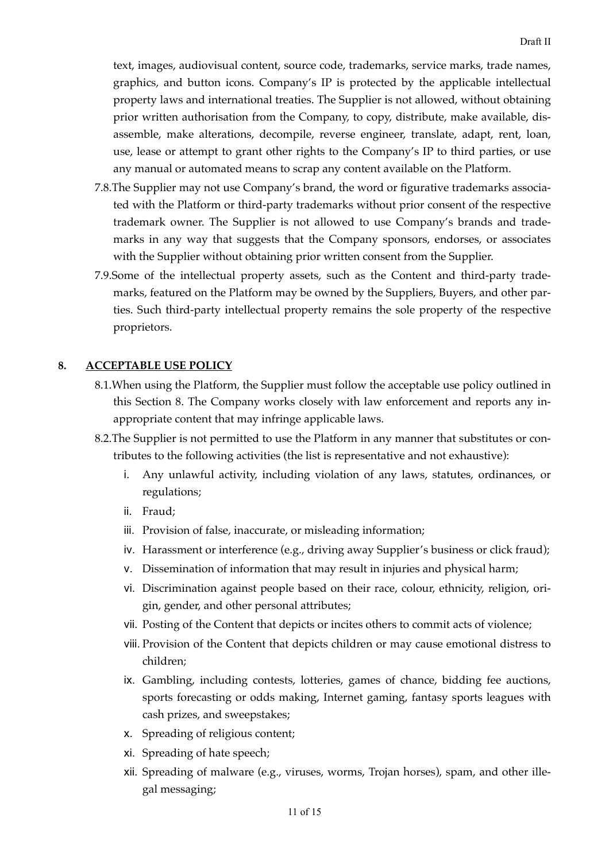text, images, audiovisual content, source code, trademarks, service marks, trade names, graphics, and button icons. Company's IP is protected by the applicable intellectual property laws and international treaties. The Supplier is not allowed, without obtaining prior written authorisation from the Company, to copy, distribute, make available, disassemble, make alterations, decompile, reverse engineer, translate, adapt, rent, loan, use, lease or attempt to grant other rights to the Company's IP to third parties, or use any manual or automated means to scrap any content available on the Platform.

- 7.8.The Supplier may not use Company's brand, the word or figurative trademarks associated with the Platform or third-party trademarks without prior consent of the respective trademark owner. The Supplier is not allowed to use Company's brands and trademarks in any way that suggests that the Company sponsors, endorses, or associates with the Supplier without obtaining prior written consent from the Supplier.
- 7.9.Some of the intellectual property assets, such as the Content and third-party trademarks, featured on the Platform may be owned by the Suppliers, Buyers, and other parties. Such third-party intellectual property remains the sole property of the respective proprietors.

#### **8. ACCEPTABLE USE POLICY**

- <span id="page-10-0"></span>8.1.When using the Platform, the Supplier must follow the acceptable use policy outlined in this Section 8. The Company works closely with law enforcement and reports any inappropriate content that may infringe applicable laws.
- 8.2.The Supplier is not permitted to use the Platform in any manner that substitutes or contributes to the following activities (the list is representative and not exhaustive):
	- i. Any unlawful activity, including violation of any laws, statutes, ordinances, or regulations;
	- ii. Fraud;
	- iii. Provision of false, inaccurate, or misleading information;
	- iv. Harassment or interference (e.g., driving away Supplier's business or click fraud);
	- v. Dissemination of information that may result in injuries and physical harm;
	- vi. Discrimination against people based on their race, colour, ethnicity, religion, origin, gender, and other personal attributes;
	- vii. Posting of the Content that depicts or incites others to commit acts of violence;
	- viii. Provision of the Content that depicts children or may cause emotional distress to children;
	- ix. Gambling, including contests, lotteries, games of chance, bidding fee auctions, sports forecasting or odds making, Internet gaming, fantasy sports leagues with cash prizes, and sweepstakes;
	- x. Spreading of religious content;
	- xi. Spreading of hate speech;
	- xii. Spreading of malware (e.g., viruses, worms, Trojan horses), spam, and other illegal messaging;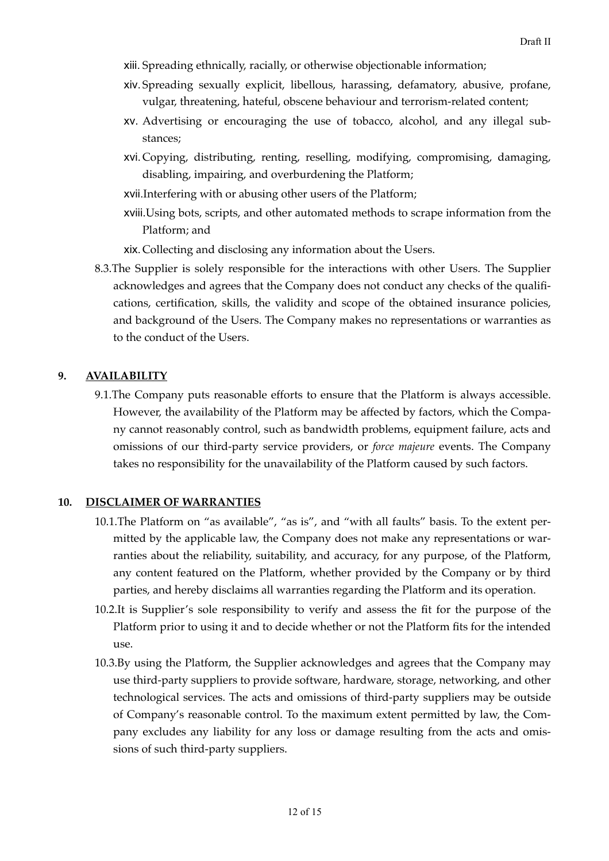- $x$ iii. Spreading ethnically, racially, or otherwise objectionable information;
- $x$ iv. Spreading sexually explicit, libellous, harassing, defamatory, abusive, profane, vulgar, threatening, hateful, obscene behaviour and terrorism-related content;
- xv. Advertising or encouraging the use of tobacco, alcohol, and any illegal substances;
- xvi. Copying, distributing, renting, reselling, modifying, compromising, damaging, disabling, impairing, and overburdening the Platform;
- xvii. Interfering with or abusing other users of the Platform;
- $x$  viii. Using bots, scripts, and other automated methods to scrape information from the Platform; and
- xix. Collecting and disclosing any information about the Users.
- 8.3.The Supplier is solely responsible for the interactions with other Users. The Supplier acknowledges and agrees that the Company does not conduct any checks of the qualifcations, certification, skills, the validity and scope of the obtained insurance policies, and background of the Users. The Company makes no representations or warranties as to the conduct of the Users.

#### **9. AVAILABILITY**

<span id="page-11-0"></span>9.1.The Company puts reasonable efforts to ensure that the Platform is always accessible. However, the availability of the Platform may be affected by factors, which the Company cannot reasonably control, such as bandwidth problems, equipment failure, acts and omissions of our third-party service providers, or *force majeure* events. The Company takes no responsibility for the unavailability of the Platform caused by such factors.

#### **10. DISCLAIMER OF WARRANTIES**

- <span id="page-11-1"></span>10.1.The Platform on "as available", "as is", and "with all faults" basis. To the extent permitted by the applicable law, the Company does not make any representations or warranties about the reliability, suitability, and accuracy, for any purpose, of the Platform, any content featured on the Platform, whether provided by the Company or by third parties, and hereby disclaims all warranties regarding the Platform and its operation.
- 10.2.It is Supplier's sole responsibility to verify and assess the fit for the purpose of the Platform prior to using it and to decide whether or not the Platform fits for the intended use.
- 10.3.By using the Platform, the Supplier acknowledges and agrees that the Company may use third-party suppliers to provide software, hardware, storage, networking, and other technological services. The acts and omissions of third-party suppliers may be outside of Company's reasonable control. To the maximum extent permitted by law, the Company excludes any liability for any loss or damage resulting from the acts and omissions of such third-party suppliers.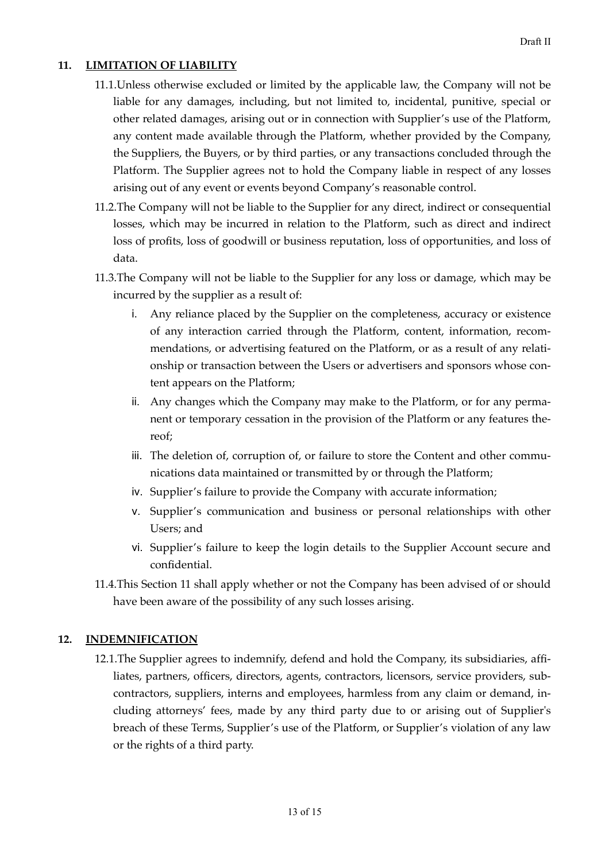# **11. LIMITATION OF LIABILITY**

- <span id="page-12-0"></span>11.1.Unless otherwise excluded or limited by the applicable law, the Company will not be liable for any damages, including, but not limited to, incidental, punitive, special or other related damages, arising out or in connection with Supplier's use of the Platform, any content made available through the Platform, whether provided by the Company, the Suppliers, the Buyers, or by third parties, or any transactions concluded through the Platform. The Supplier agrees not to hold the Company liable in respect of any losses arising out of any event or events beyond Company's reasonable control.
- 11.2.The Company will not be liable to the Supplier for any direct, indirect or consequential losses, which may be incurred in relation to the Platform, such as direct and indirect loss of profits, loss of goodwill or business reputation, loss of opportunities, and loss of data.
- 11.3.The Company will not be liable to the Supplier for any loss or damage, which may be incurred by the supplier as a result of:
	- i. Any reliance placed by the Supplier on the completeness, accuracy or existence of any interaction carried through the Platform, content, information, recommendations, or advertising featured on the Platform, or as a result of any relationship or transaction between the Users or advertisers and sponsors whose content appears on the Platform;
	- ii. Any changes which the Company may make to the Platform, or for any permanent or temporary cessation in the provision of the Platform or any features thereof;
	- iii. The deletion of, corruption of, or failure to store the Content and other communications data maintained or transmitted by or through the Platform;
	- iv. Supplier's failure to provide the Company with accurate information;
	- v. Supplier's communication and business or personal relationships with other Users; and
	- vi. Supplier's failure to keep the login details to the Supplier Account secure and confidential.
- 11.4.This Section 11 shall apply whether or not the Company has been advised of or should have been aware of the possibility of any such losses arising.

# **12. INDEMNIFICATION**

<span id="page-12-1"></span>12.1.The Supplier agrees to indemnify, defend and hold the Company, its subsidiaries, affliates, partners, officers, directors, agents, contractors, licensors, service providers, subcontractors, suppliers, interns and employees, harmless from any claim or demand, including attorneys' fees, made by any third party due to or arising out of Supplier's breach of these Terms, Supplier's use of the Platform, or Supplier's violation of any law or the rights of a third party.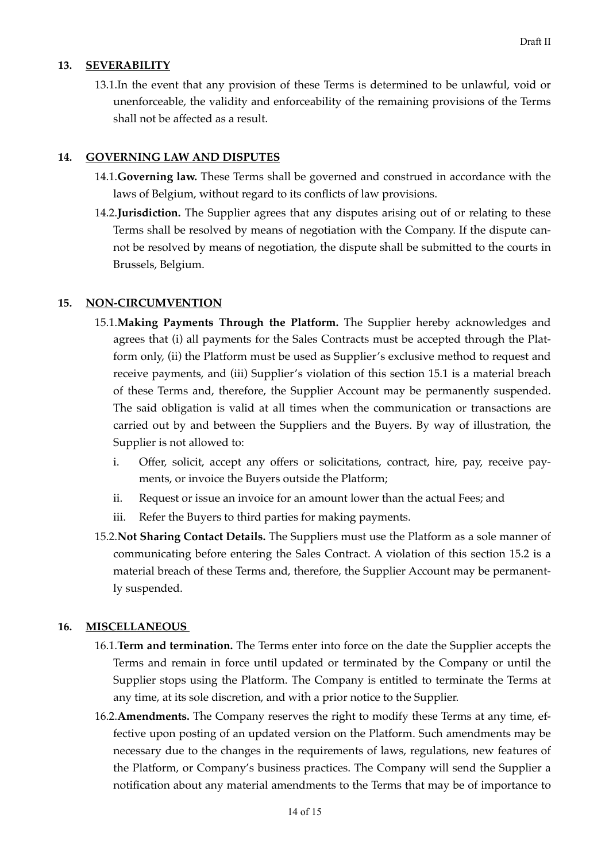# **13. SEVERABILITY**

<span id="page-13-0"></span>13.1.In the event that any provision of these Terms is determined to be unlawful, void or unenforceable, the validity and enforceability of the remaining provisions of the Terms shall not be affected as a result.

# **14. GOVERNING LAW AND DISPUTES**

- <span id="page-13-1"></span>14.1.**Governing law.** These Terms shall be governed and construed in accordance with the laws of Belgium, without regard to its conflicts of law provisions.
- 14.2.**Jurisdiction.** The Supplier agrees that any disputes arising out of or relating to these Terms shall be resolved by means of negotiation with the Company. If the dispute cannot be resolved by means of negotiation, the dispute shall be submitted to the courts in Brussels, Belgium.

# **15. NON-CIRCUMVENTION**

- <span id="page-13-2"></span>15.1.**Making Payments Through the Platform.** The Supplier hereby acknowledges and agrees that (i) all payments for the Sales Contracts must be accepted through the Platform only, (ii) the Platform must be used as Supplier's exclusive method to request and receive payments, and (iii) Supplier's violation of this section 15.1 is a material breach of these Terms and, therefore, the Supplier Account may be permanently suspended. The said obligation is valid at all times when the communication or transactions are carried out by and between the Suppliers and the Buyers. By way of illustration, the Supplier is not allowed to:
	- i. Offer, solicit, accept any offers or solicitations, contract, hire, pay, receive payments, or invoice the Buyers outside the Platform;
	- ii. Request or issue an invoice for an amount lower than the actual Fees; and
	- iii. Refer the Buyers to third parties for making payments.
- 15.2.**Not Sharing Contact Details.** The Suppliers must use the Platform as a sole manner of communicating before entering the Sales Contract. A violation of this section 15.2 is a material breach of these Terms and, therefore, the Supplier Account may be permanently suspended.

# **16. MISCELLANEOUS**

- <span id="page-13-3"></span>16.1.**Term and termination.** The Terms enter into force on the date the Supplier accepts the Terms and remain in force until updated or terminated by the Company or until the Supplier stops using the Platform. The Company is entitled to terminate the Terms at any time, at its sole discretion, and with a prior notice to the Supplier.
- 16.2.**Amendments.** The Company reserves the right to modify these Terms at any time, effective upon posting of an updated version on the Platform. Such amendments may be necessary due to the changes in the requirements of laws, regulations, new features of the Platform, or Company's business practices. The Company will send the Supplier a notification about any material amendments to the Terms that may be of importance to